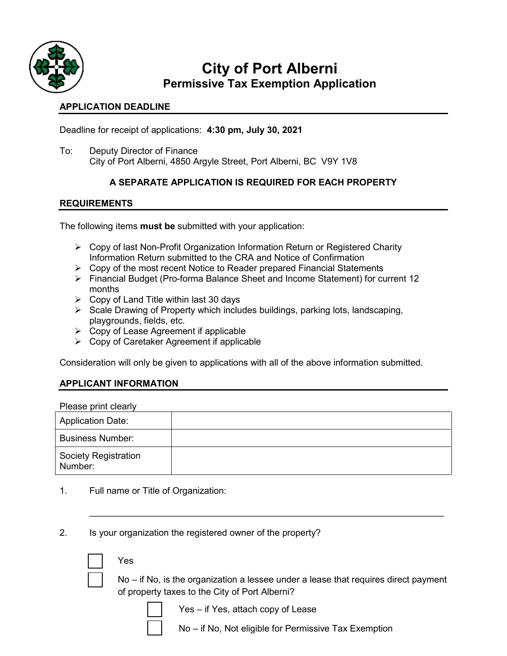

# **City of Port Alberni Permissive Tax Exemption Application**

### **APPLICATION DEADLINE**

Deadline for receipt of applications: **4:30 pm, July 30, 2021**

To: Deputy Director of Finance City of Port Alberni, 4850 Argyle Street, Port Alberni, BC V9Y 1V8

## **A SEPARATE APPLICATION IS REQUIRED FOR EACH PROPERTY**

## **REQUIREMENTS**

The following items **must be** submitted with your application:

- $\triangleright$  Copy of last Non-Profit Organization Information Return or Registered Charity Information Return submitted to the CRA and Notice of Confirmation
- $\triangleright$  Copy of the most recent Notice to Reader prepared Financial Statements
- Financial Budget (Pro-forma Balance Sheet and Income Statement) for current 12 months
- $\triangleright$  Copy of Land Title within last 30 days
- $\triangleright$  Scale Drawing of Property which includes buildings, parking lots, landscaping, playgrounds, fields, etc.
- $\triangleright$  Copy of Lease Agreement if applicable
- Copy of Caretaker Agreement if applicable

Consideration will only be given to applications with all of the above information submitted.

### **APPLICANT INFORMATION**

| Please print clearly                   |  |
|----------------------------------------|--|
| <b>Application Date:</b>               |  |
| <b>Business Number:</b>                |  |
| <b>Society Registration</b><br>Number: |  |

 $\_$ 

- 1. Full name or Title of Organization:
- 2. Is your organization the registered owner of the property?

□ Yes

 $No$  – if No, is the organization a lessee under a lease that requires direct payment of property taxes to the City of Port Alberni?

 $Yes - if Yes, attach copy of Lease$ 

No – if No, Not eligible for Permissive Tax Exemption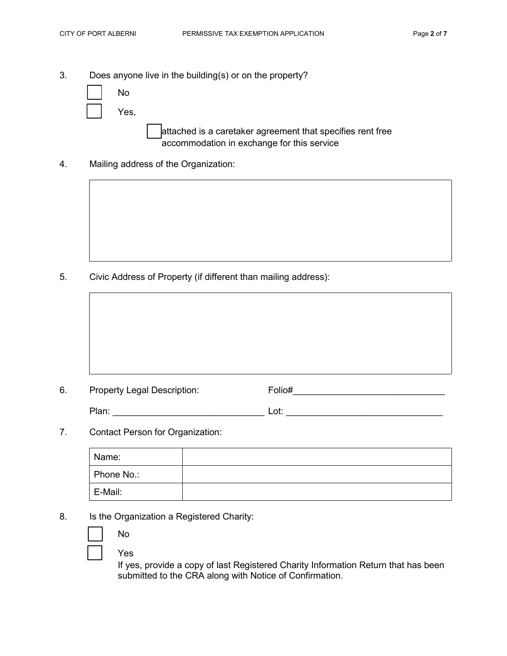accommodation in exchange for this service

- 3. Does anyone live in the building(s) or on the property?
	- □ No Yes, attached is a caretaker agreement that specifies rent free
- 4. Mailing address of the Organization:

5. Civic Address of Property (if different than mailing address):

| Folio# | Property Legal Description: |
|--------|-----------------------------|

- Plan: \_\_\_\_\_\_\_\_\_\_\_\_\_\_\_\_\_\_\_\_\_\_\_\_\_\_\_\_\_\_ Lot: \_\_\_\_\_\_\_\_\_\_\_\_\_\_\_\_\_\_\_\_\_\_\_\_\_\_\_\_\_\_\_
- 7. Contact Person for Organization:

| Name:      |  |
|------------|--|
| Phone No.: |  |
| E-Mail:    |  |

8. Is the Organization a Registered Charity:

| No  |  |
|-----|--|
| Yes |  |

If yes, provide a copy of last Registered Charity Information Return that has been submitted to the CRA along with Notice of Confirmation.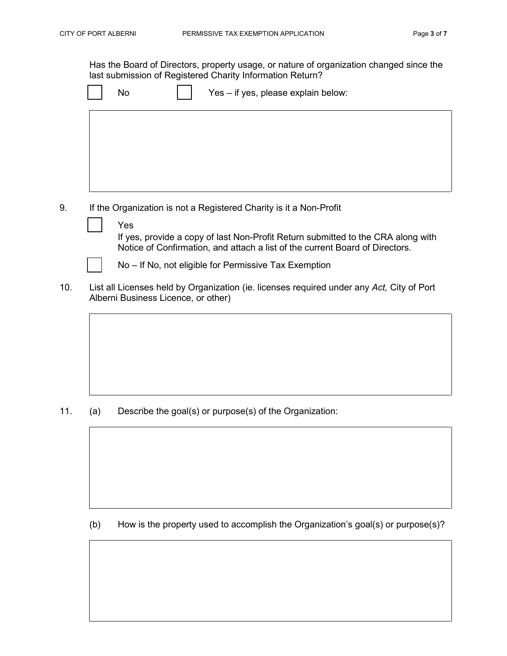Has the Board of Directors, property usage, or nature of organization changed since the last submission of Registered Charity Information Return?

|  | Yes - if yes, please explain below: |
|--|-------------------------------------|
|--|-------------------------------------|

- 9. If the Organization is not a Registered Charity is it a Non-Profit
	- □ Yes If yes, provide a copy of last Non-Profit Return submitted to the CRA along with Notice of Confirmation, and attach a list of the current Board of Directors. No – If No, not eligible for Permissive Tax Exemption
- 10. List all Licenses held by Organization (ie. licenses required under any *Act,* City of Port Alberni Business Licence, or other)

11. (a) Describe the goal(s) or purpose(s) of the Organization:

(b) How is the property used to accomplish the Organization's goal(s) or purpose(s)?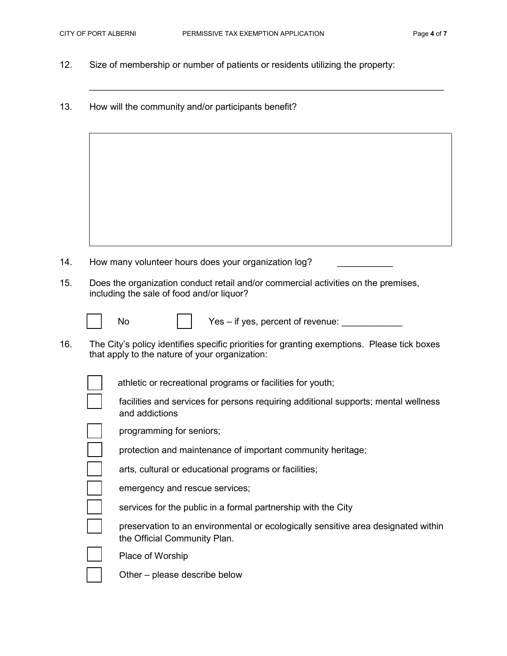$\_$  , and the set of the set of the set of the set of the set of the set of the set of the set of the set of the set of the set of the set of the set of the set of the set of the set of the set of the set of the set of th

- 12. Size of membership or number of patients or residents utilizing the property:
- 13. How will the community and/or participants benefit?
- 14. How many volunteer hours does your organization log? 15. Does the organization conduct retail and/or commercial activities on the premises, including the sale of food and/or liquor? No  $\vert \vert$  Yes – if yes, percent of revenue: 16. The City's policy identifies specific priorities for granting exemptions. Please tick boxes that apply to the nature of your organization: athletic or recreational programs or facilities for youth; facilities and services for persons requiring additional supports; mental wellness and addictions programming for seniors; protection and maintenance of important community heritage; arts, cultural or educational programs or facilities; emergency and rescue services; services for the public in a formal partnership with the City preservation to an environmental or ecologically sensitive area designated within the Official Community Plan. Place of Worship Other – please describe below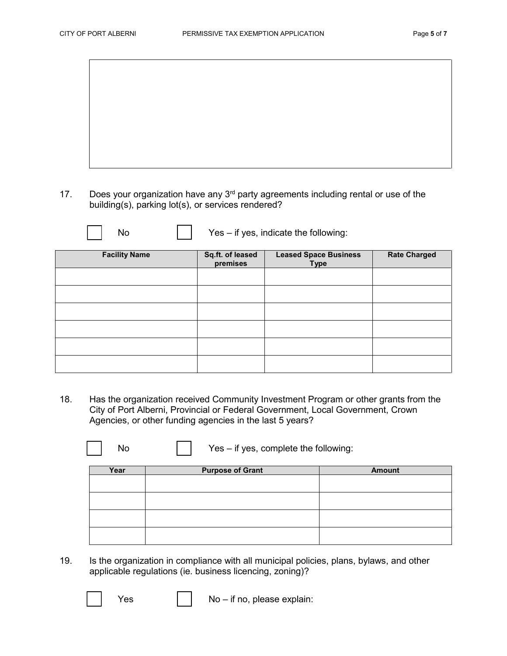17. Does your organization have any 3<sup>rd</sup> party agreements including rental or use of the building(s), parking lot(s), or services rendered?

| No                   |                              | Yes - if yes, indicate the following:       |                     |
|----------------------|------------------------------|---------------------------------------------|---------------------|
| <b>Facility Name</b> | Sq.ft. of leased<br>premises | <b>Leased Space Business</b><br><b>Type</b> | <b>Rate Charged</b> |
|                      |                              |                                             |                     |
|                      |                              |                                             |                     |
|                      |                              |                                             |                     |
|                      |                              |                                             |                     |
|                      |                              |                                             |                     |
|                      |                              |                                             |                     |

18. Has the organization received Community Investment Program or other grants from the City of Port Alberni, Provincial or Federal Government, Local Government, Crown Agencies, or other funding agencies in the last 5 years?

| Nο | Yes - if yes, complete the following: |
|----|---------------------------------------|
|    |                                       |

| Year | <b>Purpose of Grant</b> | <b>Amount</b> |
|------|-------------------------|---------------|
|      |                         |               |
|      |                         |               |
|      |                         |               |
|      |                         |               |
|      |                         |               |
|      |                         |               |
|      |                         |               |
|      |                         |               |

- 19. Is the organization in compliance with all municipal policies, plans, bylaws, and other applicable regulations (ie. business licencing, zoning)?
	-

 $Yes \t | \t | No - if no, please explain:$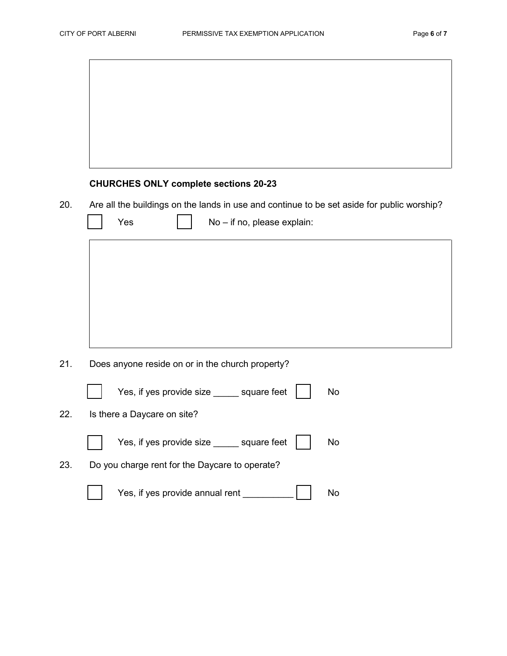|     | <b>CHURCHES ONLY complete sections 20-23</b>                                               |
|-----|--------------------------------------------------------------------------------------------|
| 20. | Are all the buildings on the lands in use and continue to be set aside for public worship? |
|     | Yes<br>No - if no, please explain:                                                         |
|     |                                                                                            |
|     |                                                                                            |
|     |                                                                                            |
|     |                                                                                            |
|     |                                                                                            |
| 21. | Does anyone reside on or in the church property?                                           |
|     | Yes, if yes provide size _____ square feet<br>No                                           |
| 22. | Is there a Daycare on site?                                                                |
|     | Yes, if yes provide size _____ square feet<br><b>No</b>                                    |
| 23. | Do you charge rent for the Daycare to operate?                                             |

□ Yes, if yes provide annual rent \_\_\_\_\_\_\_\_\_\_ □ No